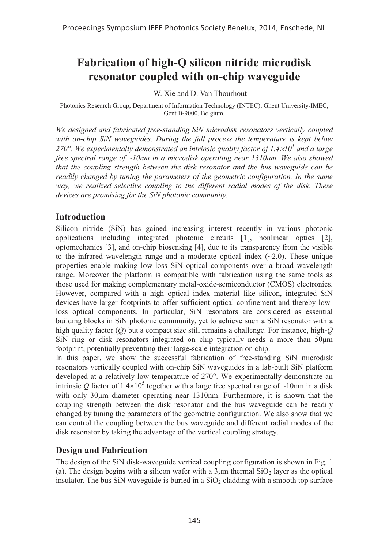# **Fabrication of high-Q silicon nitride microdisk resonator coupled with on-chip waveguide**

W. Xie and D. Van Thourhout

Photonics Research Group, Department of Information Technology (INTEC), Ghent University-IMEC, Gent B-9000, Belgium.

*We designed and fabricated free-standing SiN microdisk resonators vertically coupled with on-chip SiN waveguides. During the full process the temperature is kept below 270°. We experimentally demonstrated an intrinsic quality factor of 1.410<sup>5</sup> and a large free spectral range of ~10nm in a microdisk operating near 1310nm. We also showed that the coupling strength between the disk resonator and the bus waveguide can be readily changed by tuning the parameters of the geometric configuration. In the same way, we realized selective coupling to the different radial modes of the disk. These devices are promising for the SiN photonic community.* 

## **Introduction**

Silicon nitride (SiN) has gained increasing interest recently in various photonic applications including integrated photonic circuits [1], nonlinear optics [2], optomechanics [3], and on-chip biosensing [4], due to its transparency from the visible to the infrared wavelength range and a moderate optical index  $(\sim 2.0)$ . These unique properties enable making low-loss SiN optical components over a broad wavelength range. Moreover the platform is compatible with fabrication using the same tools as those used for making complementary metal-oxide-semiconductor (CMOS) electronics. However, compared with a high optical index material like silicon, integrated SiN devices have larger footprints to offer sufficient optical confinement and thereby lowloss optical components. In particular, SiN resonators are considered as essential building blocks in SiN photonic community, yet to achieve such a SiN resonator with a high quality factor (*Q*) but a compact size still remains a challenge. For instance, high-*Q* SiN ring or disk resonators integrated on chip typically needs a more than  $50 \mu m$ footprint, potentially preventing their large-scale integration on chip.

In this paper, we show the successful fabrication of free-standing SiN microdisk resonators vertically coupled with on-chip SiN waveguides in a lab-built SiN platform developed at a relatively low temperature of 270°. We experimentally demonstrate an intrinsic Q factor of  $1.4 \times 10^5$  together with a large free spectral range of  $\sim 10$ nm in a disk with only  $30\mu m$  diameter operating near  $1310 \text{nm}$ . Furthermore, it is shown that the coupling strength between the disk resonator and the bus waveguide can be readily changed by tuning the parameters of the geometric configuration. We also show that we can control the coupling between the bus waveguide and different radial modes of the disk resonator by taking the advantage of the vertical coupling strategy.

## **Design and Fabrication**

The design of the SiN disk-waveguide vertical coupling configuration is shown in Fig. 1 (a). The design begins with a silicon wafer with a  $3\mu$ m thermal SiO<sub>2</sub> layer as the optical insulator. The bus SiN waveguide is buried in a  $SiO<sub>2</sub>$  cladding with a smooth top surface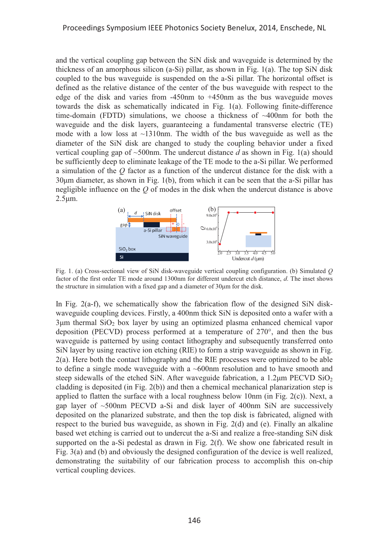and the vertical coupling gap between the SiN disk and waveguide is determined by the thickness of an amorphous silicon (a-Si) pillar, as shown in Fig. 1(a). The top SiN disk coupled to the bus waveguide is suspended on the a-Si pillar. The horizontal offset is defined as the relative distance of the center of the bus waveguide with respect to the edge of the disk and varies from -450nm to +450nm as the bus waveguide moves towards the disk as schematically indicated in Fig. 1(a). Following finite-difference time-domain (FDTD) simulations, we choose a thickness of  $\sim$ 400nm for both the waveguide and the disk layers, guaranteeing a fundamental transverse electric (TE) mode with a low loss at  $\sim$ 1310nm. The width of the bus waveguide as well as the diameter of the SiN disk are changed to study the coupling behavior under a fixed vertical coupling gap of ~500nm. The undercut distance *d* as shown in Fig. 1(a) should be sufficiently deep to eliminate leakage of the TE mode to the a-Si pillar. We performed a simulation of the *Q* factor as a function of the undercut distance for the disk with a  $30 \mu m$  diameter, as shown in Fig. 1(b), from which it can be seen that the a-Si pillar has negligible influence on the *Q* of modes in the disk when the undercut distance is above  $2.5 \mu m$ .



Fig. 1. (a) Cross-sectional view of SiN disk-waveguide vertical coupling configuration. (b) Simulated *Q* factor of the first order TE mode around 1300nm for different undercut etch distance, *d*. The inset shows the structure in simulation with a fixed gap and a diameter of  $30 \mu m$  for the disk.

In Fig.  $2(a-f)$ , we schematically show the fabrication flow of the designed SiN diskwaveguide coupling devices. Firstly, a 400nm thick SiN is deposited onto a wafer with a  $3\mu$ m thermal SiO<sub>2</sub> box layer by using an optimized plasma enhanced chemical vapor deposition (PECVD) process performed at a temperature of 270°, and then the bus waveguide is patterned by using contact lithography and subsequently transferred onto SiN layer by using reactive ion etching (RIE) to form a strip waveguide as shown in Fig. 2(a). Here both the contact lithography and the RIE processes were optimized to be able to define a single mode waveguide with a ~600nm resolution and to have smooth and steep sidewalls of the etched SiN. After waveguide fabrication, a  $1.2 \mu m$  PECVD SiO<sub>2</sub> cladding is deposited (in Fig. 2(b)) and then a chemical mechanical planarization step is applied to flatten the surface with a local roughness below 10nm (in Fig.  $2(c)$ ). Next, a gap layer of  $\sim$ 500nm PECVD a-Si and disk layer of 400nm SiN are successively deposited on the planarized substrate, and then the top disk is fabricated, aligned with respect to the buried bus waveguide, as shown in Fig. 2(d) and (e). Finally an alkaline based wet etching is carried out to undercut the a-Si and realize a free-standing SiN disk supported on the a-Si pedestal as drawn in Fig. 2(f). We show one fabricated result in Fig. 3(a) and (b) and obviously the designed configuration of the device is well realized, demonstrating the suitability of our fabrication process to accomplish this on-chip vertical coupling devices.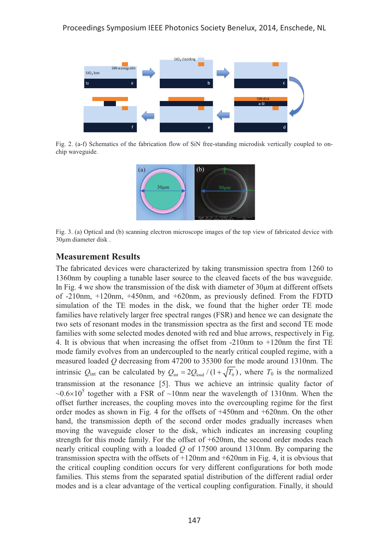

Fig. 2. (a-f) Schematics of the fabrication flow of SiN free-standing microdisk vertically coupled to onchip waveguide.



Fig. 3. (a) Optical and (b) scanning electron microscope images of the top view of fabricated device with 30µm diameter disk.

## **Measurement Results**

The fabricated devices were characterized by taking transmission spectra from 1260 to 1360nm by coupling a tunable laser source to the cleaved facets of the bus waveguide. In Fig. 4 we show the transmission of the disk with diameter of  $30 \mu m$  at different offsets of -210nm, +120nm, +450nm, and +620nm, as previously defined. From the FDTD simulation of the TE modes in the disk, we found that the higher order TE mode families have relatively larger free spectral ranges (FSR) and hence we can designate the two sets of resonant modes in the transmission spectra as the first and second TE mode families with some selected modes denoted with red and blue arrows, respectively in Fig. 4. It is obvious that when increasing the offset from -210nm to +120nm the first TE mode family evolves from an undercoupled to the nearly critical coupled regime, with a measured loaded *Q* decreasing from 47200 to 35300 for the mode around 1310nm. The intrinsic  $Q_{int}$  can be calculated by  $Q_{int} = 2Q_{load}/(1 + \sqrt{T_0})$ , where  $T_0$  is the normalized transmission at the resonance [5]. Thus we achieve an intrinsic quality factor of  $\sim 0.6 \times 10^5$  together with a FSR of  $\sim 10$ nm near the wavelength of 1310nm. When the offset further increases, the coupling moves into the overcoupling regime for the first order modes as shown in Fig. 4 for the offsets of +450nm and +620nm. On the other hand, the transmission depth of the second order modes gradually increases when moving the waveguide closer to the disk, which indicates an increasing coupling strength for this mode family. For the offset of +620nm, the second order modes reach nearly critical coupling with a loaded *Q* of 17500 around 1310nm. By comparing the transmission spectra with the offsets of  $+120$ nm and  $+620$ nm in Fig. 4, it is obvious that the critical coupling condition occurs for very different configurations for both mode families. This stems from the separated spatial distribution of the different radial order modes and is a clear advantage of the vertical coupling configuration. Finally, it should